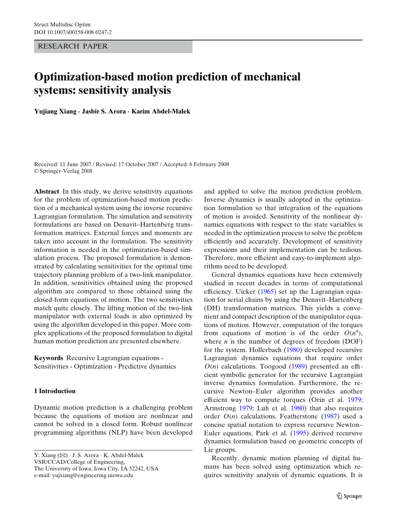# RESEARCH PAPER

# **Optimization-based motion prediction of mechanical systems: sensitivity analysis**

**Yujiang Xiang · Jasbir S. Arora · Karim Abdel-Malek**

Received: 11 June 2007 / Revised: 17 October 2007 / Accepted: 6 February 2008 © Springer-Verlag 2008

**Abstract** In this study, we derive sensitivity equations for the problem of optimization-based motion prediction of a mechanical system using the inverse recursive Lagrangian formulation. The simulation and sensitivity formulations are based on Denavit–Hartenberg transformation matrices. External forces and moments are taken into account in the formulation. The sensitivity information is needed in the optimization-based simulation process. The proposed formulation is demonstrated by calculating sensitivities for the optimal time trajectory planning problem of a two-link manipulator. In addition, sensitivities obtained using the proposed algorithm are compared to those obtained using the closed-form equations of motion. The two sensitivities match quite closely. The lifting motion of the two-link manipulator with external loads is also optimized by using the algorithm developed in this paper. More complex applications of the proposed formulation to digital human motion prediction are presented elsewhere.

**Keywords** Recursive Lagrangian equations **·** Sensitivities **·** Optimization **·** Predictive dynamics

### **1 Introduction**

Dynamic motion prediction is a challenging problem because the equations of motion are nonlinear and cannot be solved in a closed form. Robust nonlinear programming algorithms (NLP) have been developed

Y. Xiang ( $\boxtimes$ ) · J. S. Arora · K. Abdel-Malek VSR/CCAD/College of Engineering, The University of Iowa, Iowa City, IA 52242, USA e-mail: yujxiang@engineering.uiowa.edu

and applied to solve the motion prediction problem. Inverse dynamics is usually adopted in the optimization formulation so that integration of the equations of motion is avoided. Sensitivity of the nonlinear dynamics equations with respect to the state variables is needed in the optimization process to solve the problem efficiently and accurately. Development of sensitivity expressions and their implementation can be tedious. Therefore, more efficient and easy-to-implement algorithms need to be developed.

General dynamics equations have been extensively studied in recent decades in terms of computational efficiency. Uicke[r](#page-13-0) [\(1965\)](#page-13-0) set up the Lagrangian equation for serial chains by using the Denavit–Hartenberg (DH) transformation matrices. This yields a convenient and compact description of the manipulator equations of motion. However, computation of the torques from equations of motion is of the order  $O(n^4)$ , where  $n$  is the number of degrees of freedom (DOF) for the system. Hollerbac[h](#page-13-0) [\(1980\)](#page-13-0) developed recursive Lagrangian dynamics equations that require order  $O(n)$  calculations. Toogoo[d](#page-13-0) [\(1989](#page-13-0)) presented an efficient symbolic generator for the recursive Lagrangian inverse dynamics formulation. Furthermore, the recursive Newton–Euler algorithm provides another efficient way to compute torques (Orin et al. [1979;](#page-13-0) Armstrong [1979;](#page-13-0) Luh et al. [1980](#page-13-0)) that also requires ord[e](#page-13-0)r  $O(n)$  calculations. Featherstone  $(1987)$  used a concise spatial notation to express recursive Newton– Euler equations. Park et al[.](#page-13-0) [\(1995\)](#page-13-0) derived recursive dynamics formulation based on geometric concepts of Lie groups.

Recently, dynamic motion planning of digital humans has been solved using optimization which requires sensitivity analysis of dynamic equations. It is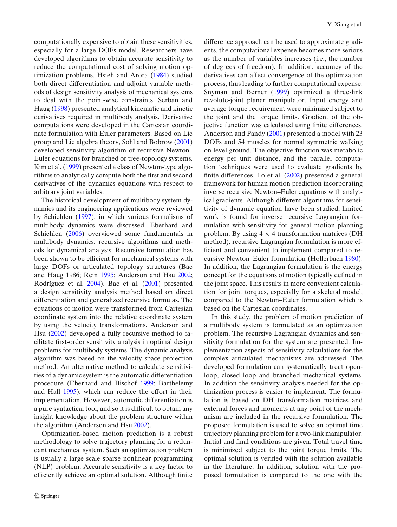computationally expensive to obtain these sensitivities, especially for a large DOFs model. Researchers have developed algorithms to obtain accurate sensitivity to reduce the computational cost of solving motion optimization problems. Hsieh and Aror[a](#page-13-0) [\(1984\)](#page-13-0) studied both direct differentiation and adjoint variable methods of design sensitivity analysis of mechanical systems to deal with the point-wise constraints. Serban and Hau[g](#page-13-0) [\(1998](#page-13-0)) presented analytical kinematic and kinetic derivatives required in multibody analysis. Derivative computations were developed in the Cartesian coordinate formulation with Euler parameters. Based on Lie group and Lie algebra theory, Sohl and Bobro[w](#page-13-0) [\(2001](#page-13-0)) developed sensitivity algorithm of recursive Newton– Euler equations for branched or tree-topology systems. Kim et al[.](#page-13-0) [\(1999](#page-13-0)) presented a class of Newton-type algorithms to analytically compute both the first and second derivatives of the dynamics equations with respect to arbitrary joint variables.

The historical development of multibody system dynamics and its engineering applications were reviewed by Schiehle[n](#page-13-0) [\(1997](#page-13-0)), in which various formalisms of multibody dynamics were discussed. Eberhard and Schiehle[n](#page-13-0) [\(2006\)](#page-13-0) overviewed some fundamentals in multibody dynamics, recursive algorithms and methods for dynamical analysis. Recursive formulation has been shown to be efficient for mechanical systems with large DOFs or articulated topology structures (Bae and Haug 1986; Rein [1995;](#page-13-0) Anderson and Hsu [2002;](#page-13-0) Rodríguez et al. [2004\)](#page-13-0). Bae et al[.](#page-13-0) [\(2001](#page-13-0)) presented a design sensitivity analysis method based on direct differentiation and generalized recursive formulas. The equations of motion were transformed from Cartesian coordinate system into the relative coordinate system by using the velocity transformations. Anderson and Hs[u](#page-13-0) [\(2002](#page-13-0)) developed a fully recursive method to facilitate first-order sensitivity analysis in optimal design problems for multibody systems. The dynamic analysis algorithm was based on the velocity space projection method. An alternative method to calculate sensitivities of a dynamic system is the automatic differentiation procedure (Eberhard and Bischof [1999](#page-13-0); Barthelemy and Hall [1995\)](#page-13-0), which can reduce the effort in their implementation. However, automatic differentiation is a pure syntactical tool, and so it is difficult to obtain any insight knowledge about the problem structure within the algorithm (Anderson and Hs[u](#page-13-0) [2002\)](#page-13-0).

Optimization-based motion prediction is a robust methodology to solve trajectory planning for a redundant mechanical system. Such an optimization problem is usually a large scale sparse nonlinear programming (NLP) problem. Accurate sensitivity is a key factor to efficiently achieve an optimal solution. Although finite difference approach can be used to approximate gradients, the computational expense becomes more serious as the number of variables increases (i.e., the number of degrees of freedom). In addition, accuracy of the derivatives can affect convergence of the optimization process, thus leading to further computational expense. Snyman and Berne[r](#page-13-0) [\(1999\)](#page-13-0) optimized a three-link revolute-joint planar manipulator. Input energy and average torque requirement were minimized subject to the joint and the torque limits. Gradient of the objective function was calculated using finite differences. Anderson and Pand[y](#page-13-0) [\(2001](#page-13-0)) presented a model with 23 DOFs and 54 muscles for normal symmetric walking on level ground. The objective function was metabolic energy per unit distance, and the parallel computation techniques were used to evaluate gradients by finite differences. Lo et al[.](#page-13-0) [\(2002](#page-13-0)) presented a general framework for human motion prediction incorporating inverse recursive Newton–Euler equations with analytical gradients. Although different algorithms for sensitivity of dynamic equation have been studied, limited work is found for inverse recursive Lagrangian formulation with sensitivity for general motion planning problem. By using  $4 \times 4$  transformation matrices (DH method), recursive Lagrangian formulation is more efficient and convenient to implement compared to recursive Newton–Euler formulation (Hollerbac[h](#page-13-0) [1980\)](#page-13-0). In addition, the Lagrangian formulation is the energy concept for the equations of motion typically defined in the joint space. This results in more convenient calculation for joint torques, especially for a skeletal model, compared to the Newton–Euler formulation which is based on the Cartesian coordinates.

In this study, the problem of motion prediction of a multibody system is formulated as an optimization problem. The recursive Lagrangian dynamics and sensitivity formulation for the system are presented. Implementation aspects of sensitivity calculations for the complex articulated mechanisms are addressed. The developed formulation can systematically treat openloop, closed loop and branched mechanical systems. In addition the sensitivity analysis needed for the optimization process is easier to implement. The formulation is based on DH transformation matrices and external forces and moments at any point of the mechanism are included in the recursive formulation. The proposed formulation is used to solve an optimal time trajectory planning problem for a two-link manipulator. Initial and final conditions are given. Total travel time is minimized subject to the joint torque limits. The optimal solution is verified with the solution available in the literature. In addition, solution with the proposed formulation is compared to the one with the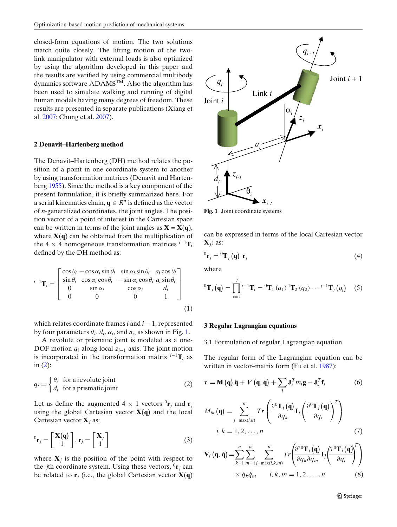<span id="page-2-0"></span>closed-form equations of motion. The two solutions match quite closely. The lifting motion of the twolink manipulator with external loads is also optimized by using the algorithm developed in this paper and the results are verified by using commercial multibody dynamics software ADAMSTM. Also the algorithm has been used to simulate walking and running of digital human models having many degrees of freedom. These results are presented in separate publications (Xiang et al. [2007;](#page-13-0) Chung et al. [2007\)](#page-13-0).

### **2 Denavit–Hartenberg method**

The Denavit–Hartenberg (DH) method relates the position of a point in one coordinate system to another by using transformation matrices (Denavit and Hartenber[g](#page-13-0) [1955\)](#page-13-0). Since the method is a key component of the present formulation, it is briefly summarized here. For a serial kinematics chain,  $q \in R^n$  is defined as the vector of *n*-generalized coordinates, the joint angles. The position vector of a point of interest in the Cartesian space can be written in terms of the joint angles as  $X = X(q)$ , where  $X(q)$  can be obtained from the multiplication of the 4  $\times$  4 homogeneous transformation matrices  $^{i-1}T_i$ defined by the DH method as:

$$
{}^{i-1}\mathbf{T}_i = \begin{bmatrix} \cos\theta_i - \cos\alpha_i \sin\theta_i & \sin\alpha_i \sin\theta_i & a_i \cos\theta_i \\ \sin\theta_i & \cos\alpha_i \cos\theta_i & -\sin\alpha_i \cos\theta_i & a_i \sin\theta_i \\ 0 & \sin\alpha_i & \cos\alpha_i & d_i \\ 0 & 0 & 0 & 1 \end{bmatrix}
$$
(1)

which relates coordinate frames *i* and *i* − 1, represented by four parameters  $\theta_i$ ,  $d_i$ ,  $\alpha_i$ , and  $a_i$ , as shown in Fig. 1.

A revolute or prismatic joint is modeled as a one-DOF motion *qi* along local *zi*<sup>−</sup><sup>1</sup> axis. The joint motion is incorporated in the transformation matrix  $i^{-1}$ **T**<sub>*i*</sub> as in  $(2)$ :

$$
q_i = \begin{cases} \theta_i & \text{for a revolute joint} \\ d_i & \text{for a prismatic joint} \end{cases}
$$
 (2)

Let us define the augmented  $4 \times 1$  vectors  ${}^{0}$ **r**<sub>*j*</sub> and **r**<sub>*j*</sub> using the global Cartesian vector  $X(q)$  and the local Cartesian vector  $\mathbf{X}_i$  as:

$$
{}^{0}\mathbf{r}_{j} = \begin{bmatrix} \mathbf{X}(\mathbf{q}) \\ 1 \end{bmatrix}, \mathbf{r}_{j} = \begin{bmatrix} \mathbf{X}_{j} \\ 1 \end{bmatrix}
$$
 (3)

where  $X_j$  is the position of the point with respect to the *j*th coordinate system. Using these vectors,  ${}^{0}$ **r**<sub>*j*</sub> can be related to  $\mathbf{r}_j$  (i.e., the global Cartesian vector  $\mathbf{X}(q)$ 



**Fig. 1** Joint coordinate systems

can be expressed in terms of the local Cartesian vector **X***j*) as:

$$
{}^{0}\mathbf{r}_{j} = {}^{0}\mathbf{T}_{j}(\mathbf{q}) \mathbf{r}_{j} \tag{4}
$$

where

$$
{}^{0}\mathbf{T}_{j}\left(\mathbf{q}\right)=\prod_{i=1}^{j} {}^{i-1}\mathbf{T}_{i}={}^{0}\mathbf{T}_{1}\left(q_{1}\right){}^{1}\mathbf{T}_{2}\left(q_{2}\right)\cdots {}^{j-1}\mathbf{T}_{j}\left(q_{j}\right) \quad (5)
$$

### **3 Regular Lagrangian equations**

3.1 Formulation of regular Lagrangian equation

The regular form of the Lagrangian equation can be written in vector–matrix form (Fu et al[.](#page-13-0) [1987\)](#page-13-0):

$$
\tau = \mathbf{M}(\mathbf{q})\ddot{\mathbf{q}} + V(\mathbf{q}, \dot{\mathbf{q}}) + \sum_{i} \mathbf{J}_{i}^{T} m_{i} \mathbf{g} + \mathbf{J}_{s}^{T} \mathbf{f}_{s}
$$
(6)

$$
M_{ik}(\mathbf{q}) = \sum_{j=\max(i,k)}^{n} Tr\left(\frac{\partial^{0} \mathbf{T}_{j}(\mathbf{q})}{\partial q_{k}} \mathbf{I}_{j}\left(\frac{\partial^{0} \mathbf{T}_{j}(\mathbf{q})}{\partial q_{i}}\right)^{T}\right)
$$
  

$$
i, k = 1, 2, ..., n
$$
 (7)

$$
\mathbf{V}_{i}(\mathbf{q}, \dot{\mathbf{q}}) = \sum_{k=1}^{n} \sum_{m=1}^{n} \sum_{j=\max(i,k,m)}^{n} Tr \left( \frac{\partial^{20} \mathbf{T}_{j}(\mathbf{q})}{\partial q_{k} \partial q_{m}} \mathbf{I}_{j} \left( \frac{\partial^{0} \mathbf{T}_{j}(\mathbf{q})}{\partial q_{i}} \right)^{T} \right) \times \dot{q}_{k} \dot{q}_{m} \qquad i, k, m = 1, 2, ..., n \qquad (8)
$$

Springer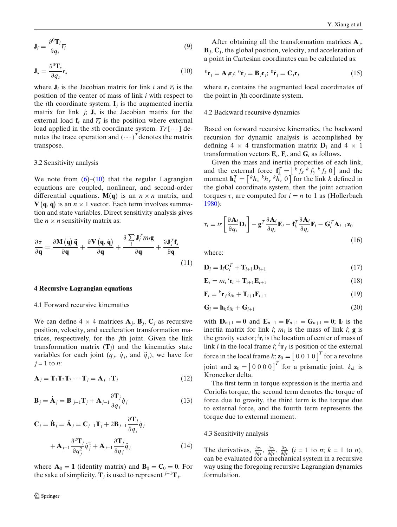$$
\mathbf{J}_i = \frac{\partial^0 \mathbf{T}_i}{\partial q_i} \overline{r}_i \tag{9}
$$

$$
\mathbf{J}_s = \frac{\partial^0 \mathbf{T}_s}{\partial q_s} \overline{r_s} \tag{10}
$$

where  $J_i$  is the Jacobian matrix for link *i* and  $\overline{r_i}$  is the position of the center of mass of link *i* with respect to the *i*th coordinate system;  $\mathbf{I}_i$  is the augmented inertia matrix for link  $j$ ;  $J_s$  is the Jacobian matrix for the external load  $f_s$  and  $\overline{r_s}$  is the position where external load applied in the *s*th coordinate system.  $Tr[\cdots]$  denotes the trace operation and  $(\cdots)^T$  denotes the matrix transpose.

### 3.2 Sensitivity analysis

We note from  $(6)$ – $(10)$  that the regular Lagrangian equations are coupled, nonlinear, and second-order differential equations. **M**(**q**) is an  $n \times n$  matrix, and  $V(q, \dot{q})$  is an  $n \times 1$  vector. Each term involves summation and state variables. Direct sensitivity analysis gives the  $n \times n$  sensitivity matrix as:

$$
\frac{\partial \tau}{\partial \mathbf{q}} = \frac{\partial \mathbf{M}(\mathbf{q}) \ddot{\mathbf{q}}}{\partial \mathbf{q}} + \frac{\partial \mathbf{V}(\mathbf{q}, \dot{\mathbf{q}})}{\partial \mathbf{q}} + \frac{\partial \sum_{i} \mathbf{J}_{i}^{T} m_{i} \mathbf{g}}{\partial \mathbf{q}} + \frac{\partial \mathbf{J}_{s}^{T} \mathbf{f}_{s}}{\partial \mathbf{q}}
$$
(11)

### **4 Recursive Lagrangian equations**

### 4.1 Forward recursive kinematics

We can define  $4 \times 4$  matrices  $\mathbf{A}_i$ ,  $\mathbf{B}_j$ ,  $\mathbf{C}_j$  as recursive position, velocity, and acceleration transformation matrices, respectively, for the *j*th joint. Given the link transformation matrix  $(T_i)$  and the kinematics state variables for each joint  $(q_j, \dot{q}_j, \text{ and } \ddot{q}_j)$ , we have for  $j = 1$  to *n*:

$$
\mathbf{A}_{j} = \mathbf{T}_{1} \mathbf{T}_{2} \mathbf{T}_{3} \cdots \mathbf{T}_{j} = \mathbf{A}_{j-1} \mathbf{T}_{j} \tag{12}
$$

$$
\mathbf{B}_{j} = \dot{\mathbf{A}}_{j} = \mathbf{B}_{j-1} \mathbf{T}_{j} + \mathbf{A}_{j-1} \frac{\partial \mathbf{T}_{j}}{\partial q_{j}} \dot{q}_{j}
$$
(13)

$$
\mathbf{C}_{j} = \dot{\mathbf{B}}_{j} = \ddot{\mathbf{A}}_{j} = \mathbf{C}_{j-1} \mathbf{T}_{j} + 2\mathbf{B}_{j-1} \frac{\partial \mathbf{T}_{j}}{\partial q_{j}} \dot{q}_{j} + \mathbf{A}_{j-1} \frac{\partial^{2} \mathbf{T}_{j}}{\partial q_{j}^{2}} \dot{q}_{j}^{2} + \mathbf{A}_{j-1} \frac{\partial \mathbf{T}_{j}}{\partial q_{j}} \ddot{q}_{j}
$$
(14)

where  $\mathbf{A}_0 = \mathbf{1}$  (identity matrix) and  $\mathbf{B}_0 = \mathbf{C}_0 = \mathbf{0}$ . For the sake of simplicity,  $\mathbf{T}_j$  is used to represent  $j^{-1}\mathbf{T}_j$ .

After obtaining all the transformation matrices **A***j*,  $\mathbf{B}_i$ ,  $\mathbf{C}_i$ , the global position, velocity, and acceleration of a point in Cartesian coordinates can be calculated as:

$$
{}^{0}\mathbf{r}_{j} = \mathbf{A}_{j}\mathbf{r}_{j}; {}^{0}\dot{\mathbf{r}}_{j} = \mathbf{B}_{j}\mathbf{r}_{j}; {}^{0}\ddot{\mathbf{r}}_{j} = \mathbf{C}_{j}\mathbf{r}_{j}
$$
(15)

where  $\mathbf{r}_i$  contains the augmented local coordinates of the point in *j*th coordinate system.

### 4.2 Backward recursive dynamics

Based on forward recursive kinematics, the backward recursion for dynamic analysis is accomplished by defining  $4 \times 4$  transformation matrix  $D_i$  and  $4 \times 1$ transformation vectors  $\mathbf{E}_i$ ,  $\mathbf{F}_i$ , and  $\mathbf{G}_i$  as follows.

Given the mass and inertia properties of each link, and the external force  $\mathbf{f}_k^T = \left[ \begin{array}{c} k f_x \, k f_y \, k f_z \, 0 \end{array} \right]$  and the moment  $\mathbf{h}_k^T = \left[ {}^{k}h_x {}^{k}h_y {}^{k}h_z 0 \right]$  for the link *k* defined in the global coordinate system, then the joint actuation torques  $\tau_i$  are computed for  $i = n$  to 1 as (Hollerbac[h](#page-13-0) [1980](#page-13-0)):

$$
\tau_i = tr \left[ \frac{\partial \mathbf{A}_i}{\partial q_i} \mathbf{D}_i \right] - \mathbf{g}^T \frac{\partial \mathbf{A}_i}{\partial q_i} \mathbf{E}_i - \mathbf{f}_k^T \frac{\partial \mathbf{A}_i}{\partial q_i} \mathbf{F}_i - \mathbf{G}_i^T \mathbf{A}_{i-1} \mathbf{z}_0
$$
\n(16)

where:

$$
\mathbf{D}_{i} = \mathbf{I}_{i} \mathbf{C}_{i}^{T} + \mathbf{T}_{i+1} \mathbf{D}_{i+1}
$$
\n(17)

$$
\mathbf{E}_{i} = m_{i}^{i} \mathbf{r}_{i} + \mathbf{T}_{i+1} \mathbf{E}_{i+1}
$$
\n(18)

$$
\mathbf{F}_i = {}^k \mathbf{r}_f \delta_{ik} + \mathbf{T}_{i+1} \mathbf{F}_{i+1} \tag{19}
$$

$$
\mathbf{G}_i = \mathbf{h}_k \delta_{ik} + \mathbf{G}_{i+1} \tag{20}
$$

with  $D_{n+1} = 0$  and  $E_{n+1} = F_{n+1} = G_{n+1} = 0$ ;  $I_i$  is the inertia matrix for link  $i$ ;  $m_i$  is the mass of link  $i$ ; **g** is the gravity vector;  ${}^{i}$ **r**<sub>*i*</sub> is the location of center of mass of link *i* in the local frame *i*;  ${}^k\mathbf{r}_f$  is position of the external force in the local frame  $k$ ;  $\mathbf{z}_0 = \begin{bmatrix} 0 & 0 & 1 & 0 \end{bmatrix}^T$  for a revolute joint and  $\mathbf{z}_0 = \begin{bmatrix} 0 & 0 & 0 & 0 \end{bmatrix}^T$  for a prismatic joint.  $\delta_{ik}$  is Kronecker delta.

The first term in torque expression is the inertia and Coriolis torque, the second term denotes the torque of force due to gravity, the third term is the torque due to external force, and the fourth term represents the torque due to external moment.

#### 4.3 Sensitivity analysis

The derivatives,  $\frac{\partial \tau_i}{\partial q_k}$ ,  $\frac{\partial \tau_i}{\partial \dot{q}_k}$ ,  $\frac{\partial \tau_i}{\partial \dot{q}_k}$  (*i* = 1 to *n*; *k* = 1 to *n*), can be evaluated for a mechanical system in a recursive way using the foregoing recursive Lagrangian dynamics formulation.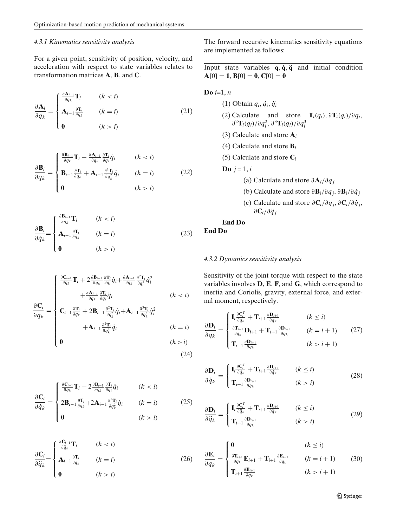### *4.3.1 Kinematics sensitivity analysis*

For a given point, sensitivity of position, velocity, and acceleration with respect to state variables relates to transformation matrices **A**, **B**, and **C**.

$$
\frac{\partial \mathbf{A}_i}{\partial q_k} = \begin{cases} \frac{\partial \mathbf{A}_{i-1}}{\partial q_k} \mathbf{T}_i & (k < i) \\ \mathbf{A}_{i-1} \frac{\partial \mathbf{T}_i}{\partial q_k} & (k = i) \\ \mathbf{0} & (k > i) \end{cases} \tag{21}
$$

$$
\frac{\partial \mathbf{B}_i}{\partial q_k} = \begin{cases} \frac{\partial \mathbf{B}_{i-1}}{\partial q_k} \mathbf{T}_i + \frac{\partial \mathbf{A}_{i-1}}{\partial q_k} \frac{\partial \mathbf{T}_i}{\partial q_i} \dot{q}_i & (k < i) \\ \mathbf{B}_{i-1} \frac{\partial \mathbf{T}_i}{\partial q_k} + \mathbf{A}_{i-1} \frac{\partial^2 \mathbf{T}_i}{\partial q_k} \dot{q}_i & (k = i) \\ 0 & (k > i) \end{cases}
$$
(22)

$$
\frac{\partial \mathbf{B}_i}{\partial \dot{q}_k} = \begin{cases} \frac{\partial \mathbf{B}_{i-1}}{\partial \dot{q}_k} \mathbf{T}_i & (k < i) \\ \mathbf{A}_{i-1} \frac{\partial \mathbf{T}_i}{\partial q_k} & (k = i) \\ 0 & (k > i) \end{cases} \tag{23}
$$

$$
\frac{\partial \mathbf{C}_{i}}{\partial q_{k}} = \begin{cases}\n\frac{\partial \mathbf{C}_{i-1}}{\partial q_{k}} \mathbf{T}_{i} + 2 \frac{\partial \mathbf{B}_{i-1}}{\partial q_{k}} \frac{\partial \mathbf{T}_{i}}{\partial q_{i}} \dot{q}_{i} + \frac{\partial \mathbf{A}_{i-1}}{\partial q_{k}} \frac{\partial^{2} \mathbf{T}_{i}}{\partial q_{i}^{2}} \dot{q}_{i}^{2} \\
+ \frac{\partial \mathbf{A}_{i-1}}{\partial q_{k}} \frac{\partial \mathbf{T}_{i}}{\partial q_{i}} \ddot{q}_{i} & (k < i) \\
\mathbf{C}_{i-1} \frac{\partial \mathbf{T}_{i}}{\partial q_{k}} + 2 \mathbf{B}_{i-1} \frac{\partial^{2} \mathbf{T}_{i}}{\partial q_{k}^{2}} \dot{q}_{i} + \mathbf{A}_{i-1} \frac{\partial^{3} \mathbf{T}_{i}}{\partial q_{k}^{3}} \dot{q}_{i}^{2} \\
+ \mathbf{A}_{i-1} \frac{\partial^{2} \mathbf{T}_{i}}{\partial q_{k}^{2}} \ddot{q}_{i} & (k = i) \\
0 & (k > i)\n\end{cases}
$$
\n(24)

$$
\frac{\partial \mathbf{C}_i}{\partial \dot{q}_k} = \begin{cases} \frac{\partial \mathbf{C}_{i-1}}{\partial \dot{q}_k} \mathbf{T}_i + 2 \frac{\partial \mathbf{B}_{i-1}}{\partial \dot{q}_k} \frac{\partial \mathbf{T}_i}{\partial q_i} \dot{q}_i & (k < i) \\ 2 \mathbf{B}_{i-1} \frac{\partial \mathbf{T}_i}{\partial q_k} + 2 \mathbf{A}_{i-1} \frac{\partial^2 \mathbf{T}_i}{\partial q_k^2} \dot{q}_i & (k = i) \\ 0 & (k > i) \end{cases}
$$
(25)

$$
\frac{\partial \mathbf{C}_i}{\partial \ddot{q}_k} = \begin{cases} \frac{\partial \mathbf{C}_{i-1}}{\partial \dot{q}_k} \mathbf{T}_i & (k < i) \\ \mathbf{A}_{i-1} \frac{\partial \mathbf{T}_i}{\partial q_k} & (k = i) \\ \mathbf{0} & (k > i) \end{cases} \tag{26}
$$

The forward recursive kinematics sensitivity equations are implemented as follows:

Input state variables **q**, **q**˙, **q**¨ and initial condition  ${\bf A}[0] = {\bf 1}, {\bf B}[0] = {\bf 0}, {\bf C}[0] = {\bf 0}$ 

$$
\mathbf{Do} \; i=1, n
$$

- (1) Obtain  $q_i$ ,  $\dot{q}_i$ ,  $\ddot{q}_i$
- (2) Calculate and store **T**<sub>*i*</sub>(*q<sub>i</sub>*), ∂**T**<sub>*i*</sub>(*q<sub>i</sub>*)/∂*q<sub>i</sub>*,  $\partial^2$ **T**<sub>*i*</sub>(*q<sub>i</sub>*)/∂*q*<sub>i</sub><sup>2</sup>,  $\partial^3$ **T**<sub>*i*</sub>(*q<sub>i</sub>*)/∂*q*<sub>i</sub><sup>3</sup>
- (3) Calculate and store **A***<sup>i</sup>*
- (4) Calculate and store **B***<sup>i</sup>*
- (5) Calculate and store **C***<sup>i</sup>*

$$
Do j=1, i
$$

- (a) Calculate and store ∂**A***i*/∂*qj*
- (b) Calculate and store ∂**B***i*/∂*qj*, ∂**B***i*/∂*q*˙ *<sup>j</sup>*
- (c) Calculate and store ∂**C***i*/∂*qj*, ∂**C***i*/∂*q*˙ *<sup>j</sup>*, ∂ $C_i/\partial \ddot{q}_i$

**End Do**

# **End Do**

### *4.3.2 Dynamics sensitivity analysis*

Sensitivity of the joint torque with respect to the state variables involves **D**, **E**, **F**, and **G**, which correspond to inertia and Coriolis, gravity, external force, and external moment, respectively.

$$
\frac{\partial \mathbf{D}_{i}}{\partial q_{k}} = \begin{cases} \mathbf{I}_{i} \frac{\partial \mathbf{C}_{i}^{T}}{\partial q_{k}} + \mathbf{T}_{i+1} \frac{\partial \mathbf{D}_{i+1}}{\partial q_{k}} & (k \leq i) \\ \frac{\partial \mathbf{T}_{i+1}}{\partial q_{k}} \mathbf{D}_{i+1} + \mathbf{T}_{i+1} \frac{\partial \mathbf{D}_{i+1}}{\partial q_{k}} & (k = i+1) \\ \mathbf{T}_{i+1} \frac{\partial \mathbf{D}_{i+1}}{\partial q_{k}} & (k > i+1) \end{cases} \tag{27}
$$

$$
\frac{\partial \mathbf{D}_{i}}{\partial \dot{q}_{k}} = \begin{cases} \mathbf{I}_{i} \frac{\partial \mathbf{C}_{i}^{T}}{\partial \dot{q}_{k}} + \mathbf{T}_{i+1} \frac{\partial \mathbf{D}_{i+1}}{\partial \dot{q}_{k}} & (k \leq i) \\ \mathbf{T}_{i+1} \frac{\partial \mathbf{D}_{i+1}}{\partial \dot{q}_{k}} & (k > i) \end{cases} \tag{28}
$$

$$
\frac{\partial \mathbf{D}_i}{\partial \ddot{q}_k} = \begin{cases} \mathbf{I}_i \frac{\partial \mathbf{C}_i^T}{\partial \ddot{q}_k} + \mathbf{T}_{i+1} \frac{\partial \mathbf{D}_{i+1}}{\partial \ddot{q}_k} & (k \le i) \\ \mathbf{T}_{i+1} \frac{\partial \mathbf{D}_{i+1}}{\partial \ddot{q}_k} & (k > i) \end{cases} \tag{29}
$$

$$
\frac{\partial \mathbf{E}_i}{\partial q_k} = \begin{cases} \mathbf{0} & (k \leq i) \\ \frac{\partial \mathbf{T}_{i+1}}{\partial q_k} \mathbf{E}_{i+1} + \mathbf{T}_{i+1} \frac{\partial \mathbf{E}_{i+1}}{\partial q_k} & (k = i+1) \\ \mathbf{T}_{i+1} \frac{\partial \mathbf{E}_{i+1}}{\partial q_k} & (k > i+1) \end{cases} \tag{30}
$$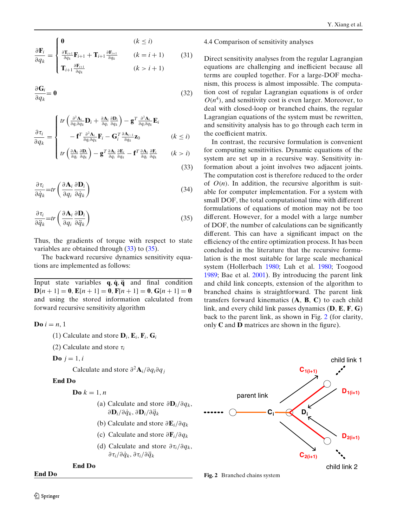$$
\frac{\partial \mathbf{F}_i}{\partial q_k} = \begin{cases} \n\mathbf{0} & (k \leq i) \\ \n\frac{\partial \mathbf{T}_{i+1}}{\partial q_k} \mathbf{F}_{i+1} + \mathbf{T}_{i+1} \frac{\partial \mathbf{F}_{i+1}}{\partial q_k} & (k = i+1) \\ \n\mathbf{T}_{i+1} \frac{\partial \mathbf{F}_{i+1}}{\partial q_k} & (k > i+1) \n\end{cases} \tag{31}
$$

$$
\frac{\partial \mathbf{G}_i}{\partial q_k} = \mathbf{0} \tag{32}
$$

$$
\frac{\partial \tau_i}{\partial q_k} = \begin{cases} tr \left( \frac{\partial^2 \mathbf{A}_i}{\partial q_i \partial q_k} \mathbf{D}_i + \frac{\partial \mathbf{A}_i}{\partial q_i} \frac{\partial \mathbf{D}_i}{\partial q_k} \right) - \mathbf{g}^T \frac{\partial^2 \mathbf{A}_i}{\partial q_i \partial q_k} \mathbf{E}_i \\ - \mathbf{f}^T \frac{\partial^2 \mathbf{A}_i}{\partial q_i \partial q_k} \mathbf{F}_i - \mathbf{G}_i^T \frac{\partial \mathbf{A}_{i-1}}{\partial q_k} \mathbf{z}_0 & (k \leq i) \\ tr \left( \frac{\partial \mathbf{A}_i}{\partial q_i} \frac{\partial \mathbf{D}_i}{\partial q_k} \right) - \mathbf{g}^T \frac{\partial \mathbf{A}_i}{\partial q_i} \frac{\partial \mathbf{E}_i}{\partial q_k} - \mathbf{f}^T \frac{\partial \mathbf{A}_i}{\partial q_i} \frac{\partial \mathbf{F}_i}{\partial q_k} & (k > i) \end{cases}
$$

$$
\frac{d\mathbf{r}_k}{d\mathbf{r}_k} - \mathbf{g}^T \frac{\partial \mathbf{A}_i}{\partial q_i} \frac{\partial \mathbf{E}_i}{\partial q_k} - \mathbf{f}^T \frac{\partial \mathbf{A}_i}{\partial q_i} \frac{\partial \mathbf{F}_i}{\partial q_k} \qquad (k > i)
$$
\n(33)

$$
\frac{\partial \tau_i}{\partial \dot{q}_k} = tr \left( \frac{\partial \mathbf{A}_i}{\partial q_i} \frac{\partial \mathbf{D}_i}{\partial \dot{q}_k} \right)
$$
(34)

$$
\frac{\partial \tau_i}{\partial \ddot{q}_k} = tr \left( \frac{\partial \mathbf{A}_i}{\partial q_i} \frac{\partial \mathbf{D}_i}{\partial \ddot{q}_k} \right)
$$
(35)

Thus, the gradients of torque with respect to state variables are obtained through (33) to (35).

The backward recursive dynamics sensitivity equations are implemented as follows:

Input state variables  $\mathbf{q}, \dot{\mathbf{q}}, \ddot{\mathbf{q}}$  and final condition  $D[n+1] = 0$ ,  $E[n+1] = 0$ ,  $F[n+1] = 0$ ,  $G[n+1] = 0$ and using the stored information calculated from forward recursive sensitivity algorithm

$$
\mathbf{Do}\ i=n,1
$$

- (1) Calculate and store **D***i*, **E***i*, **F***i*, **G***<sup>i</sup>*
- (2) Calculate and store τ*<sup>i</sup>*
- **Do**  $j = 1, i$

Calculate and store ∂<sup>2</sup>**A***i*/∂*qi*∂*qj*

# **End Do**

$$
\mathbf{Do}\,k=1,n
$$

- (a) Calculate and store ∂**D***i*/∂*qk*,  $\partial$ **D**<sub>*i*</sub>/∂ $\dot{q}_k$ ,  $\partial$ **D**<sub>*i*</sub>/∂ $\ddot{q}_k$
- (b) Calculate and store ∂**E***i*/∂*qk*
- (c) Calculate and store ∂**F***i*/∂*qk*
- (d) Calculate and store ∂τ*i*/∂*qk*,  $\frac{\partial \tau_i}{\partial \dot{q}_k}$ ,  $\frac{\partial \tau_i}{\partial \ddot{q}_k}$

# **End Do**

# **End Do**

### 4.4 Comparison of sensitivity analyses

Direct sensitivity analyses from the regular Lagrangian equations are challenging and inefficient because all terms are coupled together. For a large-DOF mechanism, this process is almost impossible. The computation cost of regular Lagrangian equations is of order  $O(n<sup>4</sup>)$ , and sensitivity cost is even larger. Moreover, to deal with closed-loop or branched chains, the regular Lagrangian equations of the system must be rewritten, and sensitivity analysis has to go through each term in the coefficient matrix.

In contrast, the recursive formulation is convenient for computing sensitivities. Dynamic equations of the system are set up in a recursive way. Sensitivity information about a joint involves two adjacent joints. The computation cost is therefore reduced to the order of  $O(n)$ . In addition, the recursive algorithm is suitable for computer implementation. For a system with small DOF, the total computational time with different formulations of equations of motion may not be too different. However, for a model with a large number of DOF, the number of calculations can be significantly different. This can have a significant impact on the efficiency of the entire optimization process. It has been concluded in the literature that the recursive formulation is the most suitable for large scale mechanical system (Hollerbach [1980](#page-13-0); Luh et al. [1980](#page-13-0); Toogood [1989](#page-13-0); Bae et al. [2001\)](#page-13-0). By introducing the parent link and child link concepts, extension of the algorithm to branched chains is straightforward. The parent link transfers forward kinematics (**A**, **B**, **C**) to each child link, and every child link passes dynamics (**D**, **E**, **F**, **G**) back to the parent link, as shown in Fig. 2 (for clarity, only **C** and **D** matrices are shown in the figure).



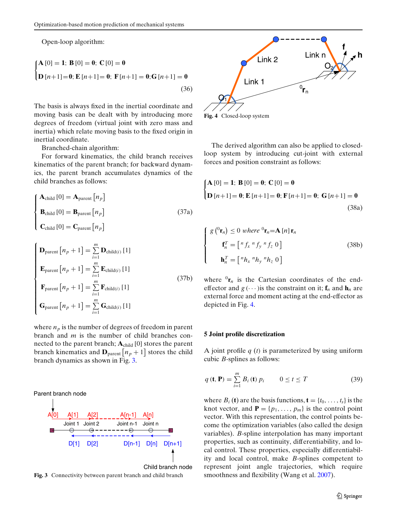<span id="page-6-0"></span>Open-loop algorithm:

$$
\begin{cases}\n\mathbf{A}[0] = \mathbf{1}; \ \mathbf{B}[0] = \mathbf{0}; \ \mathbf{C}[0] = \mathbf{0} \\
\mathbf{D}[n+1] = \mathbf{0}; \ \mathbf{E}[n+1] = \mathbf{0}; \ \mathbf{F}[n+1] = \mathbf{0}; \ \mathbf{G}[n+1] = \mathbf{0}\n\end{cases}
$$
\n(36)

The basis is always fixed in the inertial coordinate and moving basis can be dealt with by introducing more degrees of freedom (virtual joint with zero mass and inertia) which relate moving basis to the fixed origin in inertial coordinate.

Branched-chain algorithm:

For forward kinematics, the child branch receives kinematics of the parent branch; for backward dynamics, the parent branch accumulates dynamics of the child branches as follows:

$$
\begin{cases}\n\mathbf{A}_{\text{child}}\left[0\right] = \mathbf{A}_{\text{parent}}\left[n_p\right] \\
\mathbf{B}_{\text{child}}\left[0\right] = \mathbf{B}_{\text{parent}}\left[n_p\right] \\
\mathbf{C}_{\text{child}}\left[0\right] = \mathbf{C}_{\text{parent}}\left[n_p\right]\n\end{cases} \tag{37a}
$$

$$
\begin{cases}\n\mathbf{D}_{\text{parent}}\left[n_{p}+1\right] = \sum_{i=1}^{m} \mathbf{D}_{\text{child}(i)}\left[1\right] \\
\mathbf{E}_{\text{parent}}\left[n_{p}+1\right] = \sum_{i=1}^{m} \mathbf{E}_{\text{child}(i)}\left[1\right] \\
\mathbf{F}_{\text{parent}}\left[n_{p}+1\right] = \sum_{i=1}^{m} \mathbf{F}_{\text{child}(i)}\left[1\right] \\
\mathbf{G}_{\text{parent}}\left[n_{p}+1\right] = \sum_{i=1}^{m} \mathbf{G}_{\text{child}(i)}\left[1\right]\n\end{cases} \tag{37b}
$$

where  $n_p$  is the number of degrees of freedom in parent branch and *m* is the number of child branches connected to the parent branch; **A**child [0] stores the parent branch kinematics and  $\mathbf{D}_{\text{parent}}[n_p+1]$  stores the child branch dynamics as shown in Fig. 3.





**Fig. 3** Connectivity between parent branch and child branch



The derived algorithm can also be applied to closedloop system by introducing cut-joint with external forces and position constraint as follows:

$$
\begin{cases}\n\mathbf{A}[0] = \mathbf{1}; \ \mathbf{B}[0] = \mathbf{0}; \ \mathbf{C}[0] = \mathbf{0} \\
\mathbf{D}[n+1] = \mathbf{0}; \ \mathbf{E}[n+1] = \mathbf{0}; \ \mathbf{F}[n+1] = \mathbf{0}; \ \mathbf{G}[n+1] = \mathbf{0} \\
(38a)\n\end{cases}
$$

$$
\begin{cases}\ng\left({}^{0}\mathbf{r}_{n}\right) \leq 0 \text{ where } {}^{0}\mathbf{r}_{n} = \mathbf{A}\left[n\right]\mathbf{r}_{n} \\
\mathbf{f}_{n}^{T} = \begin{bmatrix} {}^{n} f_{x} {}^{n} f_{y} {}^{n} f_{z} \; 0 \end{bmatrix} \\
\mathbf{h}_{n}^{T} = \begin{bmatrix} {}^{n} h_{x} {}^{n} h_{y} {}^{n} h_{z} \; 0 \end{bmatrix}\n\end{cases} \tag{38b}
$$

where  ${}^{0}$ **r**<sub>*n*</sub> is the Cartesian coordinates of the endeffector and  $g(\cdots)$  is the constraint on it;  $f_n$  and  $h_n$  are external force and moment acting at the end-effector as depicted in Fig. 4.

### **5 Joint profile discretization**

A joint profile *q* (*t*) is parameterized by using uniform cubic *B*-splines as follows:

$$
q\left(\mathbf{t}, \mathbf{P}\right) = \sum_{i=1}^{m} B_i\left(\mathbf{t}\right) p_i \qquad 0 \le t \le T \tag{39}
$$

where  $B_i$  (**t**) are the basis functions,  $\mathbf{t} = \{t_0, \ldots, t_s\}$  is the knot vector, and  $P = \{p_1, \ldots, p_m\}$  is the control point vector. With this representation, the control points become the optimization variables (also called the design variables). *B*-spline interpolation has many important properties, such as continuity, differentiability, and local control. These properties, especially differentiability and local control, make *B*-splines competent to represent joint angle trajectories, which require smoothness and flexibility (Wang et al[.](#page-13-0) [2007](#page-13-0)).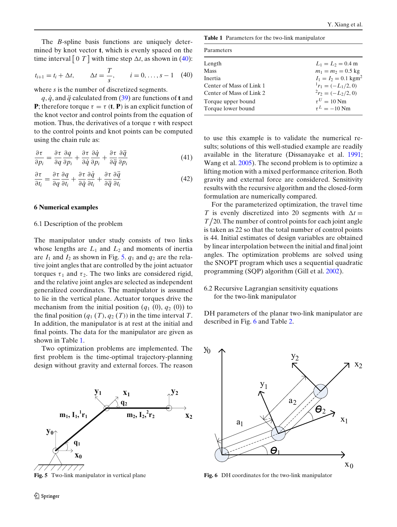<span id="page-7-0"></span>The *B*-spline basis functions are uniquely determined by knot vector **t**, which is evenly spaced on the time interval  $\begin{bmatrix} 0 & T \end{bmatrix}$  with time step  $\Delta t$ , as shown in (40):

$$
t_{i+1} = t_i + \Delta t,
$$
  $\Delta t = \frac{T}{s},$   $i = 0, ..., s - 1$  (40)

where *s* is the number of discretized segments.

 $q, \dot{q}$ , and  $\ddot{q}$  calculated from [\(39\)](#page-6-0) are functions of **t** and **P**; therefore torque  $\tau = \tau$  (**t**, **P**) is an explicit function of the knot vector and control points from the equation of motion. Thus, the derivatives of a torque  $\tau$  with respect to the control points and knot points can be computed using the chain rule as:

$$
\frac{\partial \tau}{\partial p_i} = \frac{\partial \tau}{\partial q} \frac{\partial q}{\partial p_i} + \frac{\partial \tau}{\partial \dot{q}} \frac{\partial \dot{q}}{\partial p_i} + \frac{\partial \tau}{\partial \ddot{q}} \frac{\partial \ddot{q}}{\partial p_i}
$$
(41)

$$
\frac{\partial \tau}{\partial t_i} = \frac{\partial \tau}{\partial q} \frac{\partial q}{\partial t_i} + \frac{\partial \tau}{\partial \dot{q}} \frac{\partial \dot{q}}{\partial t_i} + \frac{\partial \tau}{\partial \ddot{q}} \frac{\partial \ddot{q}}{\partial t_i}
$$
(42)

### **6 Numerical examples**

### 6.1 Description of the problem

The manipulator under study consists of two links whose lengths are  $L_1$  and  $L_2$  and moments of inertia are  $I_1$  and  $I_2$  as shown in Fig. 5.  $q_1$  and  $q_2$  are the relative joint angles that are controlled by the joint actuator torques  $\tau_1$  and  $\tau_2$ . The two links are considered rigid, and the relative joint angles are selected as independent generalized coordinates. The manipulator is assumed to lie in the vertical plane. Actuator torques drive the mechanism from the initial position  $(q_1(0), q_2(0))$  to the final position  $(q_1(T), q_2(T))$  in the time interval *T*. In addition, the manipulator is at rest at the initial and final points. The data for the manipulator are given as shown in Table 1.

Two optimization problems are implemented. The first problem is the time-optimal trajectory-planning design without gravity and external forces. The reason



**Fig. 5** Two-link manipulator in vertical plane

**Table 1** Parameters for the two-link manipulator

| Parameters               |                                    |
|--------------------------|------------------------------------|
| Length                   | $L_1 = L_2 = 0.4$ m                |
| Mass                     | $m_1 = m_2 = 0.5$ kg               |
| Inertia                  | $I_1 = I_2 = 0.1$ kgm <sup>2</sup> |
| Center of Mass of Link 1 | ${}^{1}r_1 = (-L_1/2, 0)$          |
| Center of Mass of Link 2 | $^{2}r_{2}=(-L_{2}/2,0)$           |
| Torque upper bound       | $\tau^U = 10$ Nm                   |
| Torque lower bound       | $\tau^L = -10$ Nm                  |
|                          |                                    |

to use this example is to validate the numerical results; solutions of this well-studied example are readily available in the literature (Dissanayake et al. [1991;](#page-13-0) Wang et al. [2005\)](#page-13-0). The second problem is to optimize a lifting motion with a mixed performance criterion. Both gravity and external force are considered. Sensitivity results with the recursive algorithm and the closed-form formulation are numerically compared.

For the parameterized optimization, the travel time *T* is evenly discretized into 20 segments with  $\Delta t =$ *T* / 20. The number of control points for each joint angle is taken as 22 so that the total number of control points is 44. Initial estimates of design variables are obtained by linear interpolation between the initial and final joint angles. The optimization problems are solved using the SNOPT program which uses a sequential quadratic programming (SQP) algorithm (Gill et al[.](#page-13-0) [2002](#page-13-0)).

# 6.2 Recursive Lagrangian sensitivity equations for the two-link manipulator

DH parameters of the planar two-link manipulator are described in Fig. 6 and Table [2.](#page-8-0)



**Fig. 6** DH coordinates for the two-link manipulator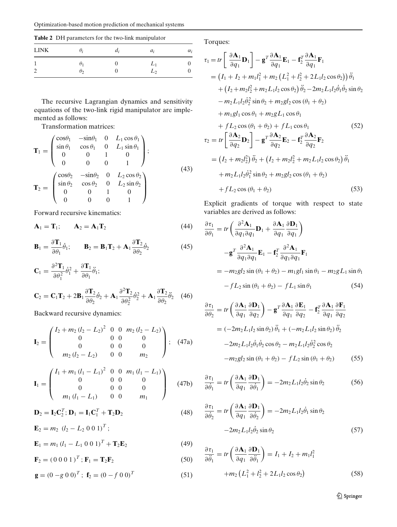<span id="page-8-0"></span>Optimization-based motion prediction of mechanical systems

|  |  |  |  |  | Table 2 DH parameters for the two-link manipulator |
|--|--|--|--|--|----------------------------------------------------|
|--|--|--|--|--|----------------------------------------------------|

| <b>LINK</b> | θ;      | $d_i$ | $a_i$    | $\alpha_i$ |
|-------------|---------|-------|----------|------------|
|             | θ<br>θэ |       | L1<br>L۶ |            |

The recursive Lagrangian dynamics and sensitivity equations of the two-link rigid manipulator are implemented as follows:

Transformation matrices:

$$
\mathbf{T}_1 = \begin{pmatrix} \cos\theta_1 & -\sin\theta_1 & 0 & L_1 \cos\theta_1 \\ \sin\theta_1 & \cos\theta_1 & 0 & L_1 \sin\theta_1 \\ 0 & 0 & 1 & 0 \\ 0 & 0 & 0 & 1 \end{pmatrix};
$$
\n
$$
\mathbf{T}_2 = \begin{pmatrix} \cos\theta_2 & -\sin\theta_2 & 0 & L_2 \cos\theta_2 \\ \sin\theta_2 & \cos\theta_2 & 0 & L_2 \sin\theta_2 \\ 0 & 0 & 1 & 0 \\ 0 & 0 & 0 & 1 \end{pmatrix}
$$
\n(43)

Forward recursive kinematics:

$$
\mathbf{A}_1 = \mathbf{T}_1; \qquad \mathbf{A}_2 = \mathbf{A}_1 \mathbf{T}_2 \tag{44}
$$

$$
\mathbf{B}_1 = \frac{\partial \mathbf{T}_1}{\partial \theta_1} \dot{\theta}_1; \qquad \mathbf{B}_2 = \mathbf{B}_1 \mathbf{T}_2 + \mathbf{A}_1 \frac{\partial \mathbf{T}_2}{\partial \theta_2} \dot{\theta}_2 \tag{45}
$$

$$
\mathbf{C}_1 = \frac{\partial^2 \mathbf{T}_1}{\partial \theta_1^2} \dot{\theta}_1^2 + \frac{\partial \mathbf{T}_1}{\partial \theta_1} \ddot{\theta}_1;
$$

$$
\mathbf{C}_2 = \mathbf{C}_1 \mathbf{T}_2 + 2 \mathbf{B}_1 \frac{\partial \mathbf{T}_2}{\partial \theta_2} \dot{\theta}_2 + \mathbf{A}_1 \frac{\partial^2 \mathbf{T}_2}{\partial \theta_2^2} \dot{\theta}_2^2 + \mathbf{A}_1 \frac{\partial \mathbf{T}_2}{\partial \theta_2} \ddot{\theta}_2 \quad (46)
$$

Backward recursive dynamics:

$$
\mathbf{I}_2 = \begin{pmatrix} I_2 + m_2 (l_2 - L_2)^2 & 0 & 0 & m_2 (l_2 - L_2) \\ 0 & 0 & 0 & 0 \\ 0 & 0 & 0 & 0 \\ m_2 (l_2 - L_2) & 0 & 0 & m_2 \end{pmatrix}; \quad (47a)
$$

$$
\mathbf{I}_1 = \begin{pmatrix} I_1 + m_1 (l_1 - L_1)^2 & 0 & 0 & m_1 (l_1 - L_1) \\ 0 & 0 & 0 & 0 \\ 0 & 0 & 0 & 0 \\ m_1 (l_1 - L_1) & 0 & 0 & m_1 \end{pmatrix}
$$
 (47b)

$$
\mathbf{D}_2 = \mathbf{I}_2 \mathbf{C}_2^T; \mathbf{D}_1 = \mathbf{I}_1 \mathbf{C}_1^T + \mathbf{T}_2 \mathbf{D}_2
$$
 (48)

$$
\mathbf{E}_2 = m_2 (l_2 - L_2 0 0 1)^T ;
$$
  
\n
$$
\mathbf{E}_1 = m_1 (l_1 - L_1 0 0 1)^T + \mathbf{T}_2 \mathbf{E}_2
$$
 (49)

$$
\mathbf{F}_2 = (0 \ 0 \ 0 \ 1)^T; \mathbf{F}_1 = \mathbf{T}_2 \mathbf{F}_2 \tag{50}
$$

$$
\mathbf{g} = (0 - g \ 0 \ 0)^T; \ \mathbf{f}_2 = (0 - f \ 0 \ 0)^T \tag{51}
$$

Torques:

$$
\tau_1 = tr \left[ \frac{\partial \mathbf{A}_1}{\partial q_1} \mathbf{D}_1 \right] - \mathbf{g}^T \frac{\partial \mathbf{A}_1}{\partial q_1} \mathbf{E}_1 - \mathbf{f}_2^T \frac{\partial \mathbf{A}_1}{\partial q_1} \mathbf{F}_1
$$
  
\n
$$
= (I_1 + I_2 + m_1 l_1^2 + m_2 (L_1^2 + l_2^2 + 2L_1 l_2 \cos \theta_2)) \ddot{\theta}_1
$$
  
\n
$$
+ (I_2 + m_2 l_2^2 + m_2 L_1 l_2 \cos \theta_2) \ddot{\theta}_2 - 2m_2 L_1 l_2 \dot{\theta}_1 \dot{\theta}_2 \sin \theta_2
$$
  
\n
$$
- m_2 L_1 l_2 \dot{\theta}_2^2 \sin \theta_2 + m_2 g l_2 \cos (\theta_1 + \theta_2)
$$
  
\n
$$
+ m_1 g l_1 \cos \theta_1 + m_2 g L_1 \cos \theta_1
$$
  
\n
$$
+ f L_2 \cos (\theta_1 + \theta_2) + f L_1 \cos \theta_1
$$
  
\n
$$
\tau_2 = tr \left[ \frac{\partial \mathbf{A}_2}{\partial q_2} \mathbf{D}_2 \right] - \mathbf{g}^T \frac{\partial \mathbf{A}_2}{\partial q_2} \mathbf{E}_2 - \mathbf{f}_2^T \frac{\partial \mathbf{A}_2}{\partial q_2} \mathbf{F}_2
$$
  
\n
$$
= (I_2 + m_2 l_2^2) \ddot{\theta}_2 + (I_2 + m_2 l_2^2 + m_2 L_1 l_2 \cos \theta_2) \ddot{\theta}_1
$$
  
\n
$$
+ m_2 L_1 l_2 \dot{\theta}_1^2 \sin \theta_2 + m_2 g l_2 \cos (\theta_1 + \theta_2)
$$
  
\n
$$
+ f L_2 \cos (\theta_1 + \theta_2)
$$
  
\n(53)

Explicit gradients of torque with respect to state variables are derived as follows:

$$
\frac{\partial \tau_1}{\partial \theta_1} = tr \left( \frac{\partial^2 \mathbf{A}_1}{\partial q_1 \partial q_1} \mathbf{D}_1 + \frac{\partial \mathbf{A}_1}{\partial q_1} \frac{\partial \mathbf{D}_1}{\partial q_1} \right)
$$
  

$$
- \mathbf{g}^T \frac{\partial^2 \mathbf{A}_1}{\partial q_1 \partial q_1} \mathbf{E}_1 - \mathbf{f}_2^T \frac{\partial^2 \mathbf{A}_1}{\partial q_1 \partial q_1} \mathbf{F}_1
$$
  

$$
= -m_2 g l_2 \sin (\theta_1 + \theta_2) - m_1 g l_1 \sin \theta_1 - m_2 g L_1 \sin \theta_1
$$
  

$$
- f L_2 \sin (\theta_1 + \theta_2) - f L_1 \sin \theta_1 \qquad (54)
$$

$$
\frac{\partial \tau_1}{\partial \theta_2} = tr \left( \frac{\partial \mathbf{A}_1}{\partial q_1} \frac{\partial \mathbf{D}_1}{\partial q_2} \right) - \mathbf{g}^T \frac{\partial \mathbf{A}_1}{\partial q_1} \frac{\partial \mathbf{E}_1}{\partial q_2} - \mathbf{f}_2^T \frac{\partial \mathbf{A}_1}{\partial q_1} \frac{\partial \mathbf{F}_1}{\partial q_2}
$$
  
=  $(-2m_2 L_1 l_2 \sin \theta_2) \ddot{\theta}_1 + (-m_2 L_1 l_2 \sin \theta_2) \ddot{\theta}_2$   
 $-2m_2 L_1 l_2 \dot{\theta}_1 \dot{\theta}_2 \cos \theta_2 - m_2 L_1 l_2 \dot{\theta}_2^2 \cos \theta_2$   
 $-m_2 g l_2 \sin (\theta_1 + \theta_2) - f L_2 \sin (\theta_1 + \theta_2)$  (55)

$$
\frac{\partial \tau_1}{\partial \dot{\theta}_1} = tr \left( \frac{\partial \mathbf{A}_1}{\partial q_1} \frac{\partial \mathbf{D}_1}{\partial \dot{\theta}_1} \right) = -2m_2 L_1 l_2 \dot{\theta}_2 \sin \theta_2 \tag{56}
$$

$$
\frac{\partial \tau_1}{\partial \dot{\theta}_2} = tr \left( \frac{\partial \mathbf{A}_1}{\partial q_1} \frac{\partial \mathbf{D}_1}{\partial \dot{\theta}_2} \right) = -2m_2 L_1 l_2 \dot{\theta}_1 \sin \theta_2
$$

$$
-2m_2 L_1 l_2 \dot{\theta}_2 \sin \theta_2 \tag{57}
$$

$$
\frac{\partial \tau_1}{\partial \ddot{\theta}_1} = tr\left(\frac{\partial \mathbf{A}_1}{\partial q_1} \frac{\partial \mathbf{D}_1}{\partial \ddot{\theta}_1}\right) = I_1 + I_2 + m_1 I_1^2
$$

$$
+ m_2 \left(L_1^2 + l_2^2 + 2L_1 l_2 \cos \theta_2\right)
$$
(58)

<sup>2</sup> Springer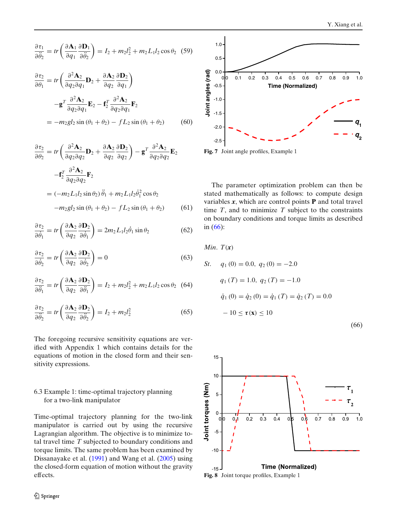<span id="page-9-0"></span>
$$
\frac{\partial \tau_1}{\partial \ddot{\theta}_2} = tr \left( \frac{\partial \mathbf{A}_1}{\partial q_1} \frac{\partial \mathbf{D}_1}{\partial \ddot{\theta}_2} \right) = I_2 + m_2 I_2^2 + m_2 L_1 I_2 \cos \theta_2 \tag{59}
$$

$$
\frac{\partial \tau_2}{\partial \theta_1} = tr \left( \frac{\partial^2 \mathbf{A}_2}{\partial q_2 \partial q_1} \mathbf{D}_2 + \frac{\partial \mathbf{A}_2}{\partial q_2} \frac{\partial \mathbf{D}_2}{\partial q_1} \right)
$$

$$
- \mathbf{g}^T \frac{\partial^2 \mathbf{A}_2}{\partial q_2 \partial q_1} \mathbf{E}_2 - \mathbf{f}_2^T \frac{\partial^2 \mathbf{A}_2}{\partial q_2 \partial q_1} \mathbf{F}_2
$$

$$
= -m_2 g l_2 \sin (\theta_1 + \theta_2) - f L_2 \sin (\theta_1 + \theta_2) \tag{60}
$$

$$
\frac{\partial \tau_2}{\partial \theta_2} = tr \left( \frac{\partial^2 \mathbf{A}_2}{\partial q_2 \partial q_2} \mathbf{D}_2 + \frac{\partial \mathbf{A}_2}{\partial q_2} \frac{\partial \mathbf{D}_2}{\partial q_2} \right) - \mathbf{g}^T \frac{\partial^2 \mathbf{A}_2}{\partial q_2 \partial q_2} \mathbf{E}_2
$$

$$
- \mathbf{f}_2^T \frac{\partial^2 \mathbf{A}_2}{\partial q_2 \partial q_2} \mathbf{F}_2
$$

$$
= (-m_2 L_1 l_2 \sin \theta_2) \ddot{\theta}_1 + m_2 L_1 l_2 \dot{\theta}_1^2 \cos \theta_2
$$

$$
-m_2gl_2\sin\left(\theta_1+\theta_2\right)-fL_2\sin\left(\theta_1+\theta_2\right)\qquad(61)
$$

$$
\frac{\partial \tau_2}{\partial \dot{\theta}_1} = tr \left( \frac{\partial \mathbf{A}_2}{\partial q_2} \frac{\partial \mathbf{D}_2}{\partial \dot{\theta}_1} \right) = 2m_2 L_1 l_2 \dot{\theta}_1 \sin \theta_2 \tag{62}
$$

$$
\frac{\partial \tau_2}{\partial \dot{\theta}_2} = tr \left( \frac{\partial \mathbf{A}_2}{\partial q_2} \frac{\partial \mathbf{D}_2}{\partial \dot{\theta}_2} \right) = 0 \tag{63}
$$

$$
\frac{\partial \tau_2}{\partial \ddot{\theta}_1} = tr \left( \frac{\partial \mathbf{A}_2}{\partial q_2} \frac{\partial \mathbf{D}_2}{\partial \ddot{\theta}_1} \right) = I_2 + m_2 I_2^2 + m_2 L_1 I_2 \cos \theta_2 \tag{64}
$$

$$
\frac{\partial \tau_2}{\partial \ddot{\theta}_2} = tr \left( \frac{\partial \mathbf{A}_2}{\partial q_2} \frac{\partial \mathbf{D}_2}{\partial \ddot{\theta}_2} \right) = I_2 + m_2 I_2^2 \tag{65}
$$

The foregoing recursive sensitivity equations are verified with Appendix 1 which contains details for the equations of motion in the closed form and their sensitivity expressions.

# 6.3 Example 1: time-optimal trajectory planning for a two-link manipulator

Time-optimal trajectory planning for the two-link manipulator is carried out by using the recursive Lagrangian algorithm. The objective is to minimize total travel time *T* subjected to boundary conditions and torque limits. The same problem has been examined by Dissanayake et al[.](#page-13-0) [\(1991](#page-13-0)) and Wang et al[.](#page-13-0) [\(2005\)](#page-13-0) using the closed-form equation of motion without the gravity effects.



**Fig. 7** Joint angle profiles, Example 1

The parameter optimization problem can then be stated mathematically as follows: to compute design variables  $x$ , which are control points **P** and total travel time  $T$ , and to minimize  $T$  subject to the constraints on boundary conditions and torque limits as described in (66):

*Min.*  $T(x)$ 

$$
St. \tq_1(0) = 0.0, \tq_2(0) = -2.0
$$
  
\n
$$
q_1(T) = 1.0, \tq_2(T) = -1.0
$$
  
\n
$$
\dot{q}_1(0) = \dot{q}_2(0) = \dot{q}_1(T) = \dot{q}_2(T) = 0.0
$$
  
\n
$$
-10 \le \tau(\mathbf{x}) \le 10
$$
\n(66)



**Fig. 8** Joint torque profiles, Example 1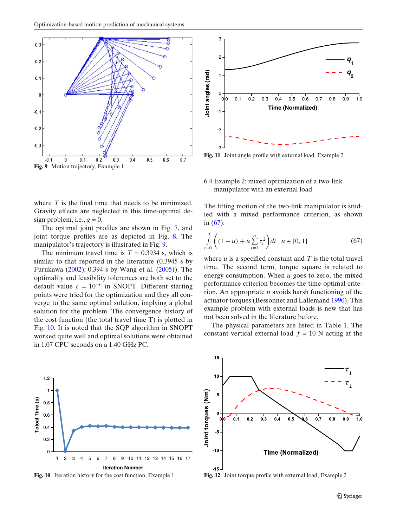<span id="page-10-0"></span>



**Fig. 11** Joint angle profile with external load, Example 2

# 6.4 Example 2: mixed optimization of a two-link manipulator with an external load

where *T* is the final time that needs to be minimized. Gravity effects are neglected in this time-optimal design problem, i.e.,  $g = 0$ .

The optimal joint profiles are shown in Fig. [7,](#page-9-0) and joint torque profiles are as depicted in Fig. [8.](#page-9-0) The manipulator's trajectory is illustrated in Fig. 9.

The minimum travel time is  $T = 0.3934$  s, which is similar to that reported in the literature (0.3945 s by Furukaw[a](#page-13-0) [\(2002](#page-13-0)); 0.394 s by Wang et al[.](#page-13-0) [\(2005](#page-13-0))). The optimality and feasibility tolerances are both set to the default value  $\varepsilon = 10^{-6}$  in SNOPT. Different starting points were tried for the optimization and they all converge to the same optimal solution, implying a global solution for the problem. The convergence history of the cost function (the total travel time T) is plotted in Fig. 10. It is noted that the SQP algorithm in SNOPT worked quite well and optimal solutions were obtained in 1.07 CPU seconds on a 1.40 GHz PC.



**Fig. 10** Iteration history for the cost function, Example 1

The lifting motion of the two-link manipulator is studied with a mixed performance criterion, as shown in  $(67)$ :

$$
\int_{t=0}^{T} \left( (1-u) + u \sum_{i=1}^{n} \tau_i^2 \right) dt \quad u \in [0, 1]
$$
\n(67)

where  $u$  is a specified constant and  $T$  is the total travel time. The second term, torque square is related to energy consumption. When *u* goes to zero, the mixed performance criterion becomes the time-optimal criterion. An appropriate *u* avoids harsh functioning of the actuator torques (Bessonnet and Lalleman[d](#page-13-0) [1990\)](#page-13-0). This example problem with external loads is new that has not been solved in the literature before.

The physical parameters are listed in Table [1.](#page-7-0) The constant vertical external load  $f = 10$  N acting at the



**Fig. 12** Joint torque profile with external load, Example 2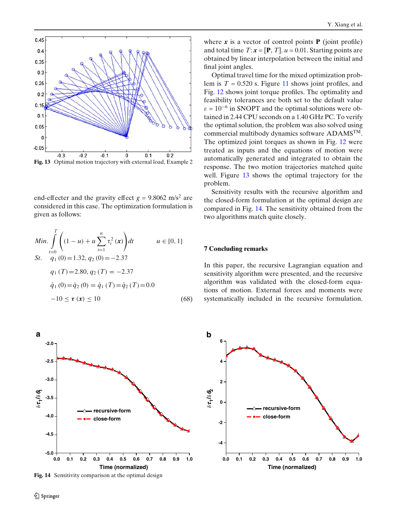

end-effecter and the gravity effect  $g = 9.8062$  m/s<sup>2</sup> are considered in this case. The optimization formulation is given as follows:

Min. 
$$
\int_{t=0}^{T} \left( (1-u) + u \sum_{i=1}^{n} \tau_i^2(x) \right) dt \qquad u \in [0, 1]
$$
  
\nSt.  $q_1(0) = 1.32, q_2(0) = -2.37$   
\n $q_1(T) = 2.80, q_2(T) = -2.37$   
\n $\dot{q}_1(0) = \dot{q}_2(0) = \dot{q}_1(T) = \dot{q}_2(T) = 0.0$   
\n $-10 \le \tau(x) \le 10$  (68)

where  $\boldsymbol{x}$  is a vector of control points **P** (joint profile) and total time  $T: x = [P, T]$ .  $u = 0.01$ . Starting points are obtained by linear interpolation between the initial and final joint angles.

Optimal travel time for the mixed optimization problem is  $T = 0.520$  s. Figure [11](#page-10-0) shows joint profiles, and Fig. [12](#page-10-0) shows joint torque profiles. The optimality and feasibility tolerances are both set to the default value  $\varepsilon = 10^{-6}$  in SNOPT and the optimal solutions were obtained in 2.44 CPU seconds on a 1.40 GHz PC. To verify the optimal solution, the problem was also solved using commercial multibody dynamics software ADAMSTM. The optimized joint torques as shown in Fig. [12](#page-10-0) were treated as inputs and the equations of motion were automatically generated and integrated to obtain the response. The two motion trajectories matched quite well. Figure 13 shows the optimal trajectory for the problem.

Sensitivity results with the recursive algorithm and the closed-form formulation at the optimal design are compared in Fig. 14. The sensitivity obtained from the two algorithms match quite closely.

### **7 Concluding remarks**

In this paper, the recursive Lagrangian equation and sensitivity algorithm were presented, and the recursive algorithm was validated with the closed-form equations of motion. External forces and moments were systematically included in the recursive formulation.



**Fig. 14** Sensitivity comparison at the optimal design

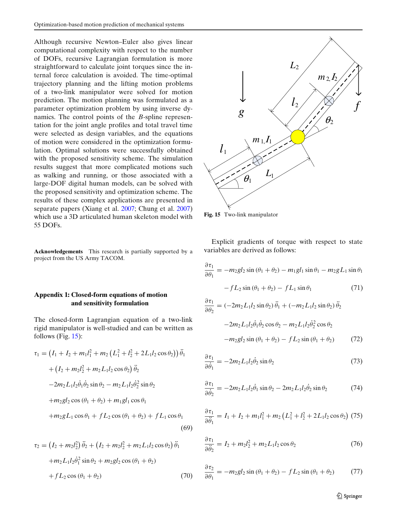Although recursive Newton–Euler also gives linear computational complexity with respect to the number of DOFs, recursive Lagrangian formulation is more straightforward to calculate joint torques since the internal force calculation is avoided. The time-optimal trajectory planning and the lifting motion problems of a two-link manipulator were solved for motion prediction. The motion planning was formulated as a parameter optimization problem by using inverse dynamics. The control points of the *B*-spline representation for the joint angle profiles and total travel time were selected as design variables, and the equations of motion were considered in the optimization formulation. Optimal solutions were successfully obtained with the proposed sensitivity scheme. The simulation results suggest that more complicated motions such as walking and running, or those associated with a large-DOF digital human models, can be solved with the proposed sensitivity and optimization scheme. The results of these complex applications are presented in separate papers (Xiang et al. [2007;](#page-13-0) Chung et al. [2007](#page-13-0)) which use a 3D articulated human skeleton model with 55 DOFs.

**Acknowledgements** This research is partially supported by a project from the US Army TACOM.

# **Appendix 1: Closed-form equations of motion and sensitivity formulation**

The closed-form Lagrangian equation of a two-link rigid manipulator is well-studied and can be written as follows (Fig. 15):

$$
\tau_1 = (I_1 + I_2 + m_1 l_1^2 + m_2 (L_1^2 + l_2^2 + 2L_1 l_2 \cos \theta_2)) \ddot{\theta}_1 \n+ (I_2 + m_2 l_2^2 + m_2 L_1 l_2 \cos \theta_2) \ddot{\theta}_2 \n-2m_2 L_1 l_2 \dot{\theta}_1 \dot{\theta}_2 \sin \theta_2 - m_2 L_1 l_2 \dot{\theta}_2^2 \sin \theta_2 \n+m_2 g l_2 \cos (\theta_1 + \theta_2) + m_1 g l_1 \cos \theta_1 \n+m_2 g L_1 \cos \theta_1 + f L_2 \cos (\theta_1 + \theta_2) + f L_1 \cos \theta_1
$$
\n(69)

$$
\tau_2 = (I_2 + m_2 l_2^2) \ddot{\theta}_2 + (I_2 + m_2 l_2^2 + m_2 L_1 l_2 \cos \theta_2) \ddot{\theta}_1 \n+ m_2 L_1 l_2 \dot{\theta}_1^2 \sin \theta_2 + m_2 g l_2 \cos (\theta_1 + \theta_2) \n+ f L_2 \cos (\theta_1 + \theta_2)
$$
\n(70)



**Fig. 15** Two-link manipulator

Explicit gradients of torque with respect to state variables are derived as follows:

$$
\frac{\partial \tau_1}{\partial \theta_1} = -m_2 g l_2 \sin (\theta_1 + \theta_2) - m_1 g l_1 \sin \theta_1 - m_2 g L_1 \sin \theta_1
$$

$$
-f L_2 \sin (\theta_1 + \theta_2) - f L_1 \sin \theta_1 \qquad (71)
$$

$$
\frac{\partial \tau_1}{\partial \theta_2} = (-2m_2 L_1 l_2 \sin \theta_2) \ddot{\theta}_1 + (-m_2 L_1 l_2 \sin \theta_2) \ddot{\theta}_2
$$

$$
-2m_2 L_1 l_2 \dot{\theta}_1 \dot{\theta}_2 \cos \theta_2 - m_2 L_1 l_2 \dot{\theta}_2^2 \cos \theta_2
$$

$$
-m_2gl_2\sin\left(\theta_1+\theta_2\right)-fL_2\sin\left(\theta_1+\theta_2\right) \tag{72}
$$

$$
\frac{\partial \tau_1}{\partial \dot{\theta}_1} = -2m_2 L_1 l_2 \dot{\theta}_2 \sin \theta_2 \tag{73}
$$

$$
\frac{\partial \tau_1}{\partial \dot{\theta}_2} = -2m_2 L_1 l_2 \dot{\theta}_1 \sin \theta_2 - 2m_2 L_1 l_2 \dot{\theta}_2 \sin \theta_2 \tag{74}
$$

$$
\frac{\partial \tau_1}{\partial \ddot{\theta}_1} = I_1 + I_2 + m_1 l_1^2 + m_2 \left( L_1^2 + l_2^2 + 2L_1 l_2 \cos \theta_2 \right) (75)
$$

$$
\frac{\partial \tau_1}{\partial \ddot{\theta}_2} = I_2 + m_2 l_2^2 + m_2 L_1 l_2 \cos \theta_2 \tag{76}
$$

$$
\frac{\partial \tau_2}{\partial \theta_1} = -m_2 g l_2 \sin (\theta_1 + \theta_2) - f L_2 \sin (\theta_1 + \theta_2)
$$
 (77)